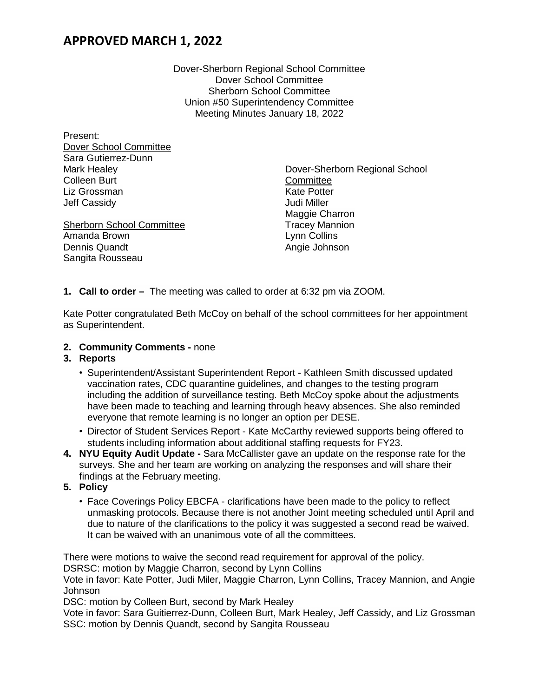### **APPROVED MARCH 1, 2022**

Dover-Sherborn Regional School Committee Dover School Committee Sherborn School Committee Union #50 Superintendency Committee Meeting Minutes January 18, 2022

| Present:                         |                                |
|----------------------------------|--------------------------------|
| Dover School Committee           |                                |
| Sara Gutierrez-Dunn              |                                |
| Mark Healey                      | Dover-Sherborn Regional School |
| <b>Colleen Burt</b>              | Committee                      |
| Liz Grossman                     | <b>Kate Potter</b>             |
| <b>Jeff Cassidy</b>              | Judi Miller                    |
|                                  | Maggie Charron                 |
| <b>Sherborn School Committee</b> | <b>Tracey Mannion</b>          |
| Amanda Brown                     | Lynn Collins                   |
| <b>Dennis Quandt</b>             | Angie Johnson                  |
| Sangita Rousseau                 |                                |

**1. Call to order –** The meeting was called to order at 6:32 pm via ZOOM.

Kate Potter congratulated Beth McCoy on behalf of the school committees for her appointment as Superintendent.

**2. Community Comments -** none

#### **3. Reports**

- Superintendent/Assistant Superintendent Report Kathleen Smith discussed updated vaccination rates, CDC quarantine guidelines, and changes to the testing program including the addition of surveillance testing. Beth McCoy spoke about the adjustments have been made to teaching and learning through heavy absences. She also reminded everyone that remote learning is no longer an option per DESE.
- Director of Student Services Report Kate McCarthy reviewed supports being offered to students including information about additional staffing requests for FY23.
- **4. NYU Equity Audit Update -** Sara McCallister gave an update on the response rate for the surveys. She and her team are working on analyzing the responses and will share their findings at the February meeting.
- **5. Policy**
	- Face Coverings Policy EBCFA clarifications have been made to the policy to reflect unmasking protocols. Because there is not another Joint meeting scheduled until April and due to nature of the clarifications to the policy it was suggested a second read be waived. It can be waived with an unanimous vote of all the committees.

There were motions to waive the second read requirement for approval of the policy.

DSRSC: motion by Maggie Charron, second by Lynn Collins

Vote in favor: Kate Potter, Judi Miler, Maggie Charron, Lynn Collins, Tracey Mannion, and Angie **Johnson** 

DSC: motion by Colleen Burt, second by Mark Healey

Vote in favor: Sara Guitierrez-Dunn, Colleen Burt, Mark Healey, Jeff Cassidy, and Liz Grossman SSC: motion by Dennis Quandt, second by Sangita Rousseau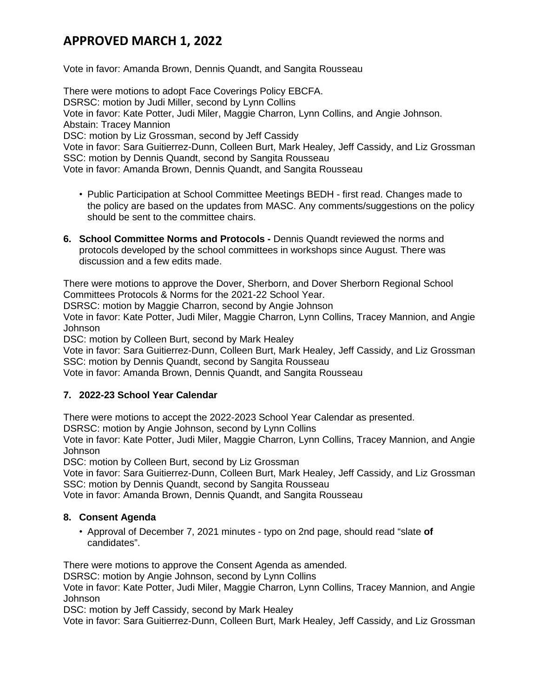## **APPROVED MARCH 1, 2022**

Vote in favor: Amanda Brown, Dennis Quandt, and Sangita Rousseau

There were motions to adopt Face Coverings Policy EBCFA. DSRSC: motion by Judi Miller, second by Lynn Collins Vote in favor: Kate Potter, Judi Miler, Maggie Charron, Lynn Collins, and Angie Johnson. Abstain: Tracey Mannion DSC: motion by Liz Grossman, second by Jeff Cassidy Vote in favor: Sara Guitierrez-Dunn, Colleen Burt, Mark Healey, Jeff Cassidy, and Liz Grossman SSC: motion by Dennis Quandt, second by Sangita Rousseau Vote in favor: Amanda Brown, Dennis Quandt, and Sangita Rousseau

- Public Participation at School Committee Meetings BEDH first read. Changes made to the policy are based on the updates from MASC. Any comments/suggestions on the policy should be sent to the committee chairs.
- **6. School Committee Norms and Protocols -** Dennis Quandt reviewed the norms and protocols developed by the school committees in workshops since August. There was discussion and a few edits made.

There were motions to approve the Dover, Sherborn, and Dover Sherborn Regional School Committees Protocols & Norms for the 2021-22 School Year.

DSRSC: motion by Maggie Charron, second by Angie Johnson

Vote in favor: Kate Potter, Judi Miler, Maggie Charron, Lynn Collins, Tracey Mannion, and Angie Johnson

DSC: motion by Colleen Burt, second by Mark Healey

Vote in favor: Sara Guitierrez-Dunn, Colleen Burt, Mark Healey, Jeff Cassidy, and Liz Grossman SSC: motion by Dennis Quandt, second by Sangita Rousseau

Vote in favor: Amanda Brown, Dennis Quandt, and Sangita Rousseau

#### **7. 2022-23 School Year Calendar**

There were motions to accept the 2022-2023 School Year Calendar as presented.

DSRSC: motion by Angie Johnson, second by Lynn Collins

Vote in favor: Kate Potter, Judi Miler, Maggie Charron, Lynn Collins, Tracey Mannion, and Angie Johnson

DSC: motion by Colleen Burt, second by Liz Grossman

Vote in favor: Sara Guitierrez-Dunn, Colleen Burt, Mark Healey, Jeff Cassidy, and Liz Grossman SSC: motion by Dennis Quandt, second by Sangita Rousseau

Vote in favor: Amanda Brown, Dennis Quandt, and Sangita Rousseau

#### **8. Consent Agenda**

• Approval of December 7, 2021 minutes - typo on 2nd page, should read "slate **of** candidates".

There were motions to approve the Consent Agenda as amended.

DSRSC: motion by Angie Johnson, second by Lynn Collins

Vote in favor: Kate Potter, Judi Miler, Maggie Charron, Lynn Collins, Tracey Mannion, and Angie Johnson

DSC: motion by Jeff Cassidy, second by Mark Healey

Vote in favor: Sara Guitierrez-Dunn, Colleen Burt, Mark Healey, Jeff Cassidy, and Liz Grossman